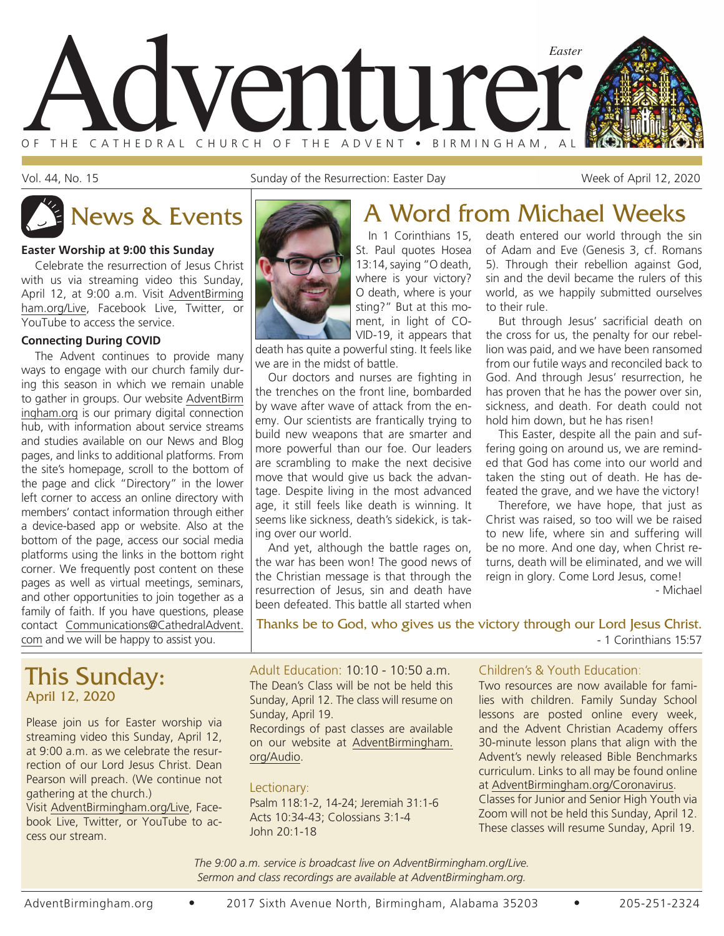

Vol. 44, No. 15 Sunday of the Resurrection: Easter Day Sunday of the Resurrection: Easter Day

#### **Easter Worship at 9:00 this Sunday**

Celebrate the resurrection of Jesus Christ with us via streaming video this Sunday, April 12, at 9:00 a.m. Visit AdventBirming ham.org/Live, Facebook Live, Twitter, or YouTube to access the service.

#### **Connecting During COVID**

The Advent continues to provide many ways to engage with our church family during this season in which we remain unable to gather in groups. Our website AdventBirm ingham.org is our primary digital connection hub, with information about service streams and studies available on our News and Blog pages, and links to additional platforms. From the site's homepage, scroll to the bottom of the page and click "Directory" in the lower left corner to access an online directory with members' contact information through either a device-based app or website. Also at the bottom of the page, access our social media platforms using the links in the bottom right corner. We frequently post content on these pages as well as virtual meetings, seminars, and other opportunities to join together as a family of faith. If you have questions, please contact Communications@CathedralAdvent. com and we will be happy to assist you.

### This Sunday: April 12, 2020

Please join us for Easter worship via streaming video this Sunday, April 12, at 9:00 a.m. as we celebrate the resurrection of our Lord Jesus Christ. Dean Pearson will preach. (We continue not gathering at the church.)

Visit AdventBirmingham.org/Live, Facebook Live, Twitter, or YouTube to access our stream.

#### St. Paul quotes Hosea 13:14, saying "O death, where is your victory? O death, where is your sting?" But at this moment, in light of CO-VID-19, it appears that

death has quite a powerful sting. It feels like we are in the midst of battle.

Our doctors and nurses are fighting in the trenches on the front line, bombarded by wave after wave of attack from the enemy. Our scientists are frantically trying to build new weapons that are smarter and more powerful than our foe. Our leaders are scrambling to make the next decisive move that would give us back the advantage. Despite living in the most advanced age, it still feels like death is winning. It seems like sickness, death's sidekick, is taking over our world.

And yet, although the battle rages on, the war has been won! The good news of the Christian message is that through the resurrection of Jesus, sin and death have been defeated. This battle all started when

### In 1 Corinthians 15, News & Events **A Word from Michael Weeks**

death entered our world through the sin of Adam and Eve (Genesis 3, cf. Romans 5). Through their rebellion against God, sin and the devil became the rulers of this world, as we happily submitted ourselves to their rule.

But through Jesus' sacrificial death on the cross for us, the penalty for our rebellion was paid, and we have been ransomed from our futile ways and reconciled back to God. And through Jesus' resurrection, he has proven that he has the power over sin, sickness, and death. For death could not hold him down, but he has risen!

This Easter, despite all the pain and suffering going on around us, we are reminded that God has come into our world and taken the sting out of death. He has defeated the grave, and we have the victory!

Therefore, we have hope, that just as Christ was raised, so too will we be raised to new life, where sin and suffering will be no more. And one day, when Christ returns, death will be eliminated, and we will reign in glory. Come Lord Jesus, come!

- Michael

Thanks be to God, who gives us the victory through our Lord Jesus Christ. - 1 Corinthians 15:57

Adult Education: 10:10 - 10:50 a.m. The Dean's Class will be not be held this Sunday, April 12. The class will resume on Sunday, April 19.

Recordings of past classes are available on our website at AdventBirmingham. org/Audio.

#### Lectionary:

Psalm 118:1-2, 14-24; Jeremiah 31:1-6 Acts 10:34-43; Colossians 3:1-4 John 20:1-18

#### Children's & Youth Education:

Two resources are now available for families with children. Family Sunday School lessons are posted online every week, and the Advent Christian Academy offers 30-minute lesson plans that align with the Advent's newly released Bible Benchmarks curriculum. Links to all may be found online at AdventBirmingham.org/Coronavirus. Classes for Junior and Senior High Youth via

Zoom will not be held this Sunday, April 12. These classes will resume Sunday, April 19.

*The 9:00 a.m. service is broadcast live on AdventBirmingham.org/Live. Sermon and class recordings are available at AdventBirmingham.org.*